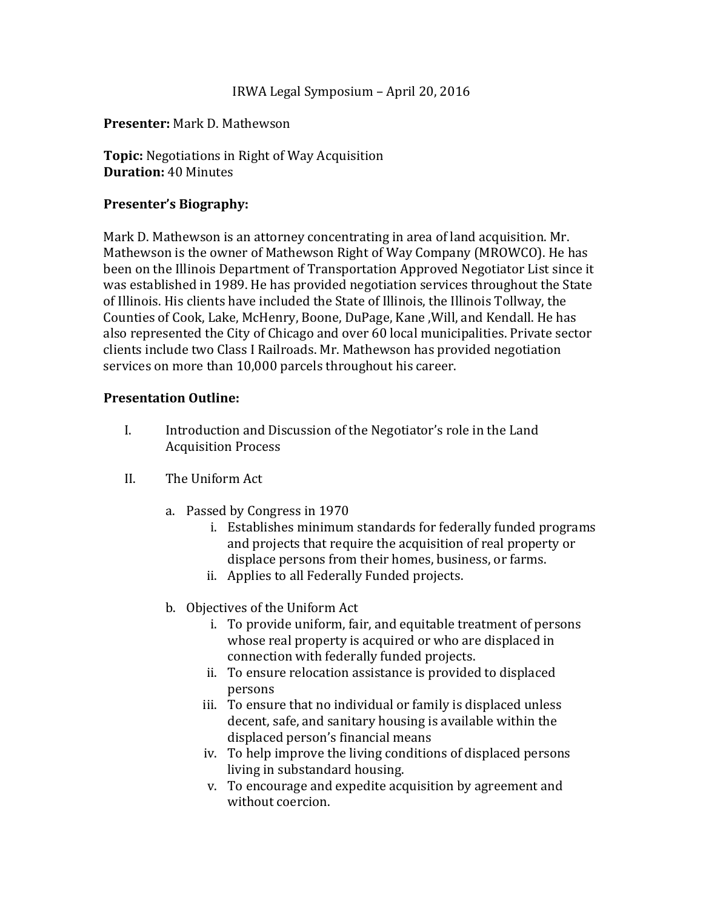## IRWA Legal Symposium – April 20, 2016

## **Presenter:** Mark D. Mathewson

**Topic:** Negotiations in Right of Way Acquisition **Duration:** 40 Minutes

## **Presenter's Biography:**

Mark D. Mathewson is an attorney concentrating in area of land acquisition. Mr. Mathewson is the owner of Mathewson Right of Way Company (MROWCO). He has been on the Illinois Department of Transportation Approved Negotiator List since it was established in 1989. He has provided negotiation services throughout the State of Illinois. His clients have included the State of Illinois, the Illinois Tollway, the Counties of Cook, Lake, McHenry, Boone, DuPage, Kane, Will, and Kendall. He has also represented the City of Chicago and over 60 local municipalities. Private sector clients include two Class I Railroads. Mr. Mathewson has provided negotiation services on more than 10,000 parcels throughout his career.

## **Presentation Outline:**

- I. Introduction and Discussion of the Negotiator's role in the Land Acquisition Process
- II. The Uniform Act
	- a. Passed by Congress in 1970
		- i. Establishes minimum standards for federally funded programs and projects that require the acquisition of real property or displace persons from their homes, business, or farms.
		- ii. Applies to all Federally Funded projects.
	- b. Objectives of the Uniform Act
		- i. To provide uniform, fair, and equitable treatment of persons whose real property is acquired or who are displaced in connection with federally funded projects.
		- ii. To ensure relocation assistance is provided to displaced persons
		- iii. To ensure that no individual or family is displaced unless decent, safe, and sanitary housing is available within the displaced person's financial means
		- iv. To help improve the living conditions of displaced persons living in substandard housing.
		- v. To encourage and expedite acquisition by agreement and without coercion.